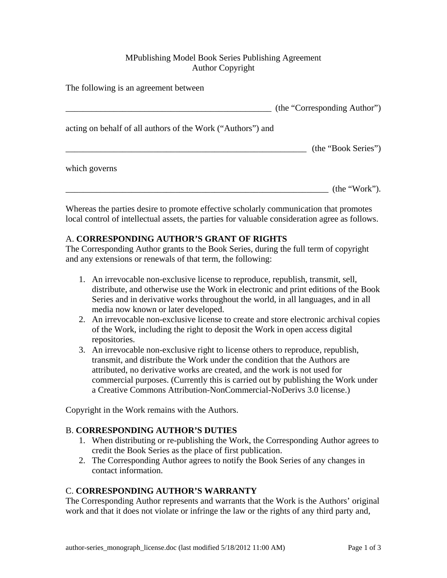## MPublishing Model Book Series Publishing Agreement Author Copyright

The following is an agreement between

|                                                             | (the "Corresponding Author") |
|-------------------------------------------------------------|------------------------------|
| acting on behalf of all authors of the Work ("Authors") and |                              |
|                                                             | (the "Book Series")          |
| which governs                                               |                              |
|                                                             | (the "Work").                |

Whereas the parties desire to promote effective scholarly communication that promotes local control of intellectual assets, the parties for valuable consideration agree as follows.

## A. **CORRESPONDING AUTHOR'S GRANT OF RIGHTS**

The Corresponding Author grants to the Book Series, during the full term of copyright and any extensions or renewals of that term, the following:

- 1. An irrevocable non-exclusive license to reproduce, republish, transmit, sell, distribute, and otherwise use the Work in electronic and print editions of the Book Series and in derivative works throughout the world, in all languages, and in all media now known or later developed.
- 2. An irrevocable non-exclusive license to create and store electronic archival copies of the Work, including the right to deposit the Work in open access digital repositories.
- 3. An irrevocable non-exclusive right to license others to reproduce, republish, transmit, and distribute the Work under the condition that the Authors are attributed, no derivative works are created, and the work is not used for commercial purposes. (Currently this is carried out by publishing the Work under a Creative Commons Attribution-NonCommercial-NoDerivs 3.0 license.)

Copyright in the Work remains with the Authors.

#### B. **CORRESPONDING AUTHOR'S DUTIES**

- 1. When distributing or re-publishing the Work, the Corresponding Author agrees to credit the Book Series as the place of first publication.
- 2. The Corresponding Author agrees to notify the Book Series of any changes in contact information.

#### C. **CORRESPONDING AUTHOR'S WARRANTY**

The Corresponding Author represents and warrants that the Work is the Authors' original work and that it does not violate or infringe the law or the rights of any third party and,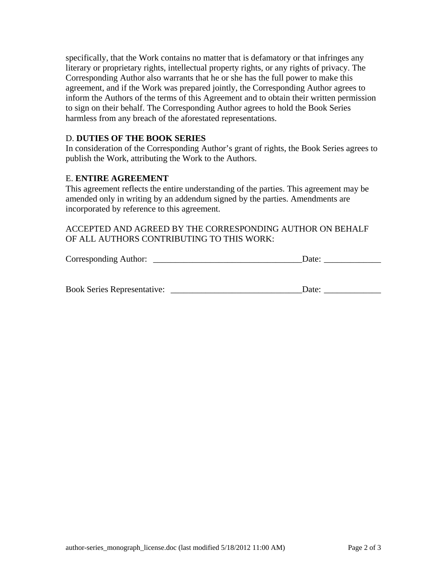specifically, that the Work contains no matter that is defamatory or that infringes any literary or proprietary rights, intellectual property rights, or any rights of privacy. The Corresponding Author also warrants that he or she has the full power to make this agreement, and if the Work was prepared jointly, the Corresponding Author agrees to inform the Authors of the terms of this Agreement and to obtain their written permission to sign on their behalf. The Corresponding Author agrees to hold the Book Series harmless from any breach of the aforestated representations.

#### D. **DUTIES OF THE BOOK SERIES**

In consideration of the Corresponding Author's grant of rights, the Book Series agrees to publish the Work, attributing the Work to the Authors.

#### E. **ENTIRE AGREEMENT**

This agreement reflects the entire understanding of the parties. This agreement may be amended only in writing by an addendum signed by the parties. Amendments are incorporated by reference to this agreement.

## ACCEPTED AND AGREED BY THE CORRESPONDING AUTHOR ON BEHALF OF ALL AUTHORS CONTRIBUTING TO THIS WORK:

| Corresponding Author: |  | Date: |
|-----------------------|--|-------|
|                       |  |       |
|                       |  |       |

| <b>Book Series Representative:</b> | Jate <sup>.</sup> |
|------------------------------------|-------------------|
|------------------------------------|-------------------|